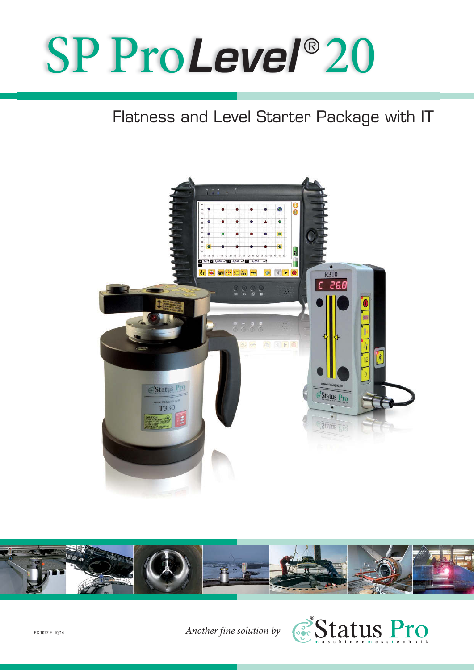# SP Pro*Level* ® 20

### Flatness and Level Starter Package with IT





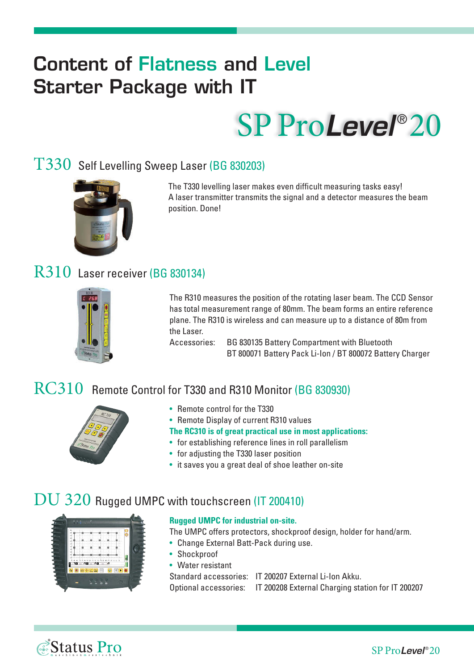## **Content of Flatness and Level Starter Package with IT**

# SP Pro*Level* ® 20

#### T330 Self Levelling Sweep Laser (BG 830203)



The T330 levelling laser makes even difficult measuring tasks easy! A laser transmitter transmits the signal and a detector measures the beam position. Done!

#### R310 Laser receiver (BG 830134)



The R310 measures the position of the rotating laser beam. The CCD Sensor has total measurement range of 80mm. The beam forms an entire reference plane. The R310 is wireless and can measure up to a distance of 80m from the Laser.

Accessories: BG 830135 Battery Compartment with Bluetooth BT 800071 Battery Pack Li-Ion / BT 800072 Battery Charger

#### RC310 Remote Control for T330 and R310 Monitor (BG 830930)



- Remote control for the T330
- Remote Display of current R310 values
- **The RC310 is of great practical use in most applications:**
- for establishing reference lines in roll parallelism
- for adjusting the T330 laser position
- it saves you a great deal of shoe leather on-site

#### DU 320 Rugged UMPC with touchscreen (IT 200410)



#### **Rugged UMPC for industrial on-site.**

The UMPC offers protectors, shockproof design, holder for hand/arm.

- Change External Batt-Pack during use.
- Shockproof
- Water resistant

Standard accessories: IT 200207 External Li-Ion Akku. Optional accessories: IT 200208 External Charging station for IT 200207

*Status Pro*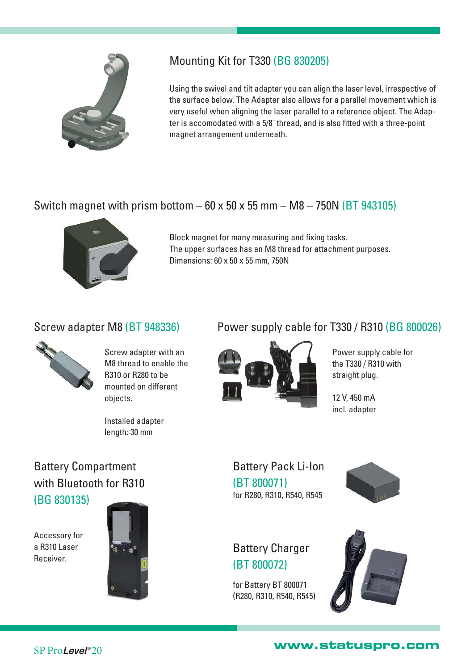

#### Mounting Kit for T330 (BG 830205)

Using the swivel and tilt adapter you can align the laser level, irrespective of the surface below. The Adapter also allows for a parallel movement which is very useful when aligning the laser parallel to a reference object. The Adapter is accomodated with a 5/8" thread, and is also fitted with a three-point magnet arrangement underneath.

#### Switch magnet with prism bottom  $-60 \times 50 \times 55$  mm  $- M8 - 750N$  (BT 943105)



Block magnet for many measuring and fixing tasks. The upper surfaces has an M8 thread for attachment purposes. Dimensions: 60 x 50 x 55 mm, 750N

#### Screw adapter M8 (BT 948336)



Screw adapter with an M8 thread to enable the R310 or R280 to be mounted on different objects.

Installed adapter length: 30 mm

#### Power supply cable for T330 / R310 (BG 800026)



Power supply cable for the T330 / R310 with straight plug.

12 V, 450 mA incl. adapter

Battery Pack Li-Ion (BT 800071) for R280, R310, R540, R545



#### Battery Charger (BT 800072)

for Battery BT 800071 (R280, R310, R540, R545)



#### Battery Compartment with Bluetooth for R310 (BG 830135)

Accessory for a R310 Laser Receiver.